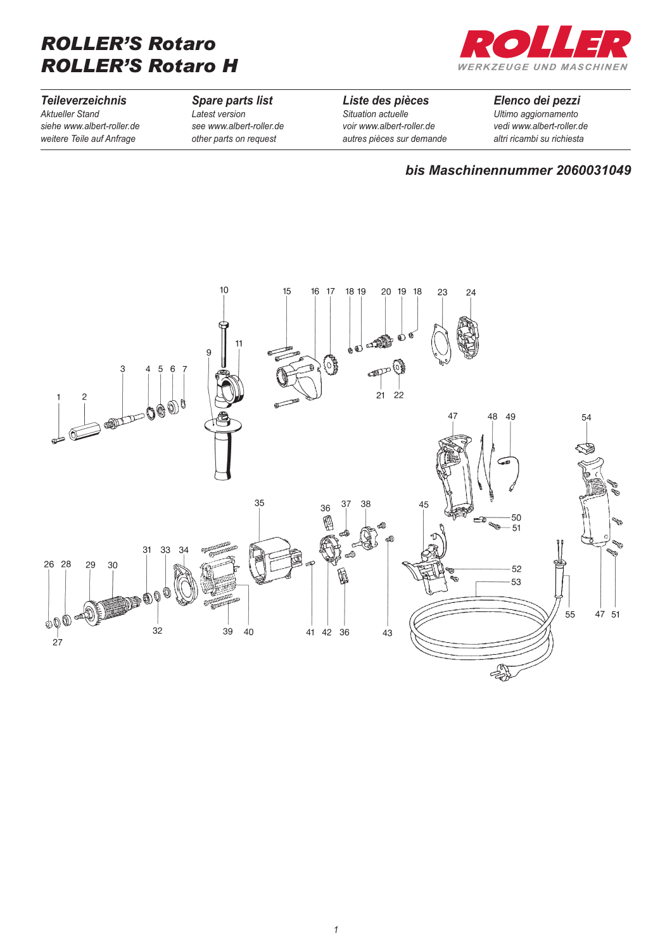# *ROLLER'S Rotaro ROLLER'S Rotaro H*



*Teileverzeichnis Aktueller Stand siehe www.albert-roller.de weitere Teile auf Anfrage*

#### *Spare parts list Latest version*

*see www.albert-roller.de other parts on request*

*Liste des pièces Situation actuelle voir www.albert-roller.de autres pièces sur demande*

#### *Elenco dei pezzi Ultimo aggiornamento vedi www.albert-roller.de altri ricambi su richiesta*

### *bis Maschinennummer 2060031049*

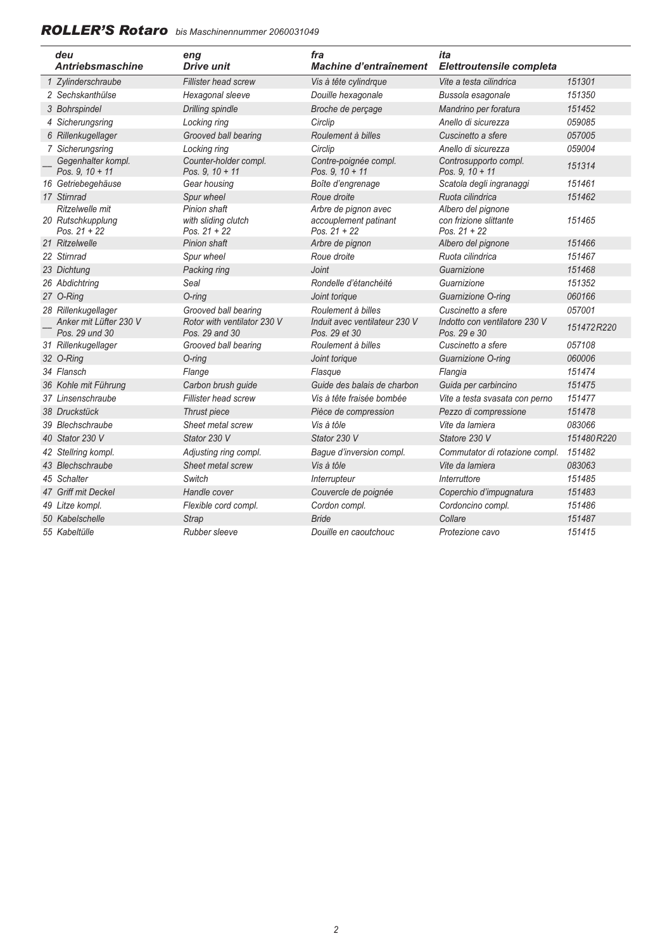## *ROLLER'S Rotaro**bis Maschinennummer 2060031049*

| deu<br><b>Antriebsmaschine</b>                         | eng<br><b>Drive unit</b>                              | fra<br>Machine d'entraînement                                   | ita<br>Elettroutensile completa                                |            |
|--------------------------------------------------------|-------------------------------------------------------|-----------------------------------------------------------------|----------------------------------------------------------------|------------|
| 1 Zylinderschraube                                     | <b>Fillister head screw</b>                           | Vis à tête cylindrque                                           | Vite a testa cilindrica                                        | 151301     |
| 2 Sechskanthülse                                       | Hexagonal sleeve                                      | Douille hexagonale                                              | Bussola esagonale                                              | 151350     |
| 3 Bohrspindel                                          | <b>Drilling spindle</b>                               | Broche de perçage                                               | Mandrino per foratura                                          | 151452     |
| 4 Sicherungsring                                       | Locking ring                                          | Circlip                                                         | Anello di sicurezza                                            | 059085     |
| 6 Rillenkugellager                                     | Grooved ball bearing                                  | Roulement à billes                                              | Cuscinetto a sfere                                             | 057005     |
| 7 Sicherungsring                                       | Locking ring                                          | Circlip                                                         | Anello di sicurezza                                            | 059004     |
| Gegenhalter kompl.<br>Pos. $9.10 + 11$                 | Counter-holder compl.<br>Pos. 9, 10 + 11              | Contre-poignée compl.<br>Pos. 9, 10 + 11                        | Controsupporto compl.<br>Pos. 9, 10 + 11                       | 151314     |
| 16 Getriebegehäuse                                     | Gear housing                                          | Boîte d'engrenage                                               | Scatola degli ingranaggi                                       | 151461     |
| 17 Stirnrad                                            | Spur wheel                                            | Roue droite                                                     | Ruota cilindrica                                               | 151462     |
| Ritzelwelle mit<br>20 Rutschkupplung<br>Pos. $21 + 22$ | Pinion shaft<br>with sliding clutch<br>Pos. $21 + 22$ | Arbre de pignon avec<br>accouplement patinant<br>Pos. $21 + 22$ | Albero del pignone<br>con frizione slittante<br>Pos. $21 + 22$ | 151465     |
| 21 Ritzelwelle                                         | Pinion shaft                                          | Arbre de pignon                                                 | Albero del pignone                                             | 151466     |
| 22 Stirnrad                                            | Spur wheel                                            | Roue droite                                                     | Ruota cilindrica                                               | 151467     |
| 23 Dichtung                                            | Packing ring                                          | Joint                                                           | Guarnizione                                                    | 151468     |
| 26 Abdichtring                                         | Seal                                                  | Rondelle d'étanchéité                                           | Guarnizione                                                    | 151352     |
| 27 O-Ring                                              | $O$ -ring                                             | Joint torique                                                   | Guarnizione O-ring                                             | 060166     |
| 28 Rillenkugellager                                    | Grooved ball bearing                                  | Roulement à billes                                              | Cuscinetto a sfere                                             | 057001     |
| Anker mit Lüfter 230 V<br>Pos. 29 und 30               | Rotor with ventilator 230 V<br>Pos. 29 and 30         | Induit avec ventilateur 230 V<br>Pos. 29 et 30                  | Indotto con ventilatore 230 V<br>Pos. 29 e 30                  | 151472R220 |
| 31 Rillenkugellager                                    | Grooved ball bearing                                  | Roulement à billes                                              | Cuscinetto a sfere                                             | 057108     |
| 32 O-Ring                                              | $O$ -ring                                             | Joint torique                                                   | Guarnizione O-ring                                             | 060006     |
| 34 Flansch                                             | Flange                                                | Flasque                                                         | Flangia                                                        | 151474     |
| 36 Kohle mit Führung                                   | Carbon brush guide                                    | Guide des balais de charbon                                     | Guida per carbincino                                           | 151475     |
| 37 Linsenschraube                                      | Fillister head screw                                  | Vis à tête fraisée bombée                                       | Vite a testa svasata con perno                                 | 151477     |
| 38 Druckstück                                          | Thrust piece                                          | Pièce de compression                                            | Pezzo di compressione                                          | 151478     |
| 39 Blechschraube                                       | Sheet metal screw                                     | Vis à tôle                                                      | Vite da lamiera                                                | 083066     |
| 40 Stator 230 V                                        | Stator 230 V                                          | Stator 230 V                                                    | Statore 230 V                                                  | 151480R220 |
| 42 Stellring kompl.                                    | Adjusting ring compl.                                 | Bague d'inversion compl.                                        | Commutator di rotazione compl.                                 | 151482     |
| 43 Blechschraube                                       | Sheet metal screw                                     | Vis à tôle                                                      | Vite da lamiera                                                | 083063     |
| 45 Schalter                                            | Switch                                                | Interrupteur                                                    | Interruttore                                                   | 151485     |
| 47 Griff mit Deckel                                    | Handle cover                                          | Couvercle de poignée                                            | Coperchio d'impugnatura                                        | 151483     |
| 49 Litze kompl.                                        | Flexible cord compl.                                  | Cordon compl.                                                   | Cordoncino compl.                                              | 151486     |
| 50 Kabelschelle                                        | <b>Strap</b>                                          | <b>Bride</b>                                                    | Collare                                                        | 151487     |
| 55 Kabeltülle                                          | Rubber sleeve                                         | Douille en caoutchouc                                           | Protezione cavo                                                | 151415     |